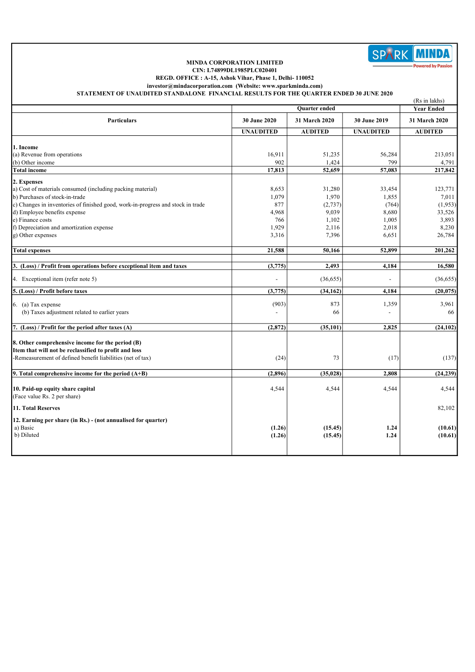

## MINDA CORPORATION LIMITED CIN: L74899DL1985PLC020401

REGD. OFFICE : A-15, Ashok Vihar, Phase 1, Delhi- 110052

investor@mindacorporation.com (Website: www.sparkminda.com) STATEMENT OF UNAUDITED STANDALONE FINANCIAL RESULTS FOR THE QUARTER ENDED 30 JUNE 2020

|                                                                                 |                      | (Rs in lakhs)  |                  |                   |  |
|---------------------------------------------------------------------------------|----------------------|----------------|------------------|-------------------|--|
|                                                                                 | <b>Ouarter</b> ended |                |                  | <b>Year Ended</b> |  |
| <b>Particulars</b>                                                              | 30 June 2020         | 31 March 2020  | 30 June 2019     | 31 March 2020     |  |
|                                                                                 | <b>UNAUDITED</b>     | <b>AUDITED</b> | <b>UNAUDITED</b> | <b>AUDITED</b>    |  |
|                                                                                 |                      |                |                  |                   |  |
| 1. Income                                                                       |                      |                |                  |                   |  |
| (a) Revenue from operations                                                     | 16,911               | 51,235         | 56,284           | 213,051           |  |
| (b) Other income                                                                | 902                  | 1,424          | 799              | 4,791             |  |
| <b>Total income</b>                                                             | 17,813               | 52,659         | 57,083           | 217,842           |  |
| 2. Expenses                                                                     |                      |                |                  |                   |  |
| a) Cost of materials consumed (including packing material)                      | 8,653                | 31,280         | 33,454           | 123,771           |  |
| b) Purchases of stock-in-trade                                                  | 1,079                | 1,970          | 1,855            | 7,011             |  |
| c) Changes in inventories of finished good, work-in-progress and stock in trade | 877                  | (2,737)        | (764)            | (1,953)           |  |
| d) Employee benefits expense                                                    | 4,968                | 9,039          | 8,680            | 33,526            |  |
| e) Finance costs                                                                | 766                  | 1,102          | 1,005            | 3,893             |  |
| f) Depreciation and amortization expense                                        | 1,929                | 2,116          | 2,018            | 8,230             |  |
| g) Other expenses                                                               | 3,316                | 7,396          | 6,651            | 26,784            |  |
|                                                                                 |                      |                |                  |                   |  |
| <b>Total expenses</b>                                                           | 21,588               | 50,166         | 52,899           | 201,262           |  |
|                                                                                 |                      |                |                  |                   |  |
| 3. (Loss) / Profit from operations before exceptional item and taxes            | (3,775)              | 2,493          | 4,184            | 16,580            |  |
| 4. Exceptional item (refer note 5)                                              |                      | (36, 655)      |                  | (36,655)          |  |
| 5. (Loss) / Profit before taxes                                                 | (3,775)              | (34, 162)      | 4,184            | (20, 075)         |  |
| $6.$ (a) Tax expense                                                            | (903)                | 873            | 1,359            | 3,961             |  |
| (b) Taxes adjustment related to earlier years                                   |                      | 66             |                  | 66                |  |
|                                                                                 |                      |                |                  |                   |  |
| 7. (Loss) / Profit for the period after taxes (A)                               | (2,872)              | (35, 101)      | 2.825            | (24, 102)         |  |
|                                                                                 |                      |                |                  |                   |  |
| 8. Other comprehensive income for the period (B)                                |                      |                |                  |                   |  |
| Item that will not be reclassified to profit and loss                           |                      |                |                  |                   |  |
| -Remeasurement of defined benefit liabilities (net of tax)                      | (24)                 | 73             | (17)             | (137)             |  |
| 9. Total comprehensive income for the period $(A+B)$                            | (2,896)              | (35, 028)      | 2,808            | (24, 239)         |  |
|                                                                                 |                      |                |                  |                   |  |
| 10. Paid-up equity share capital                                                | 4,544                | 4,544          | 4,544            | 4,544             |  |
| (Face value Rs. 2 per share)                                                    |                      |                |                  |                   |  |
|                                                                                 |                      |                |                  |                   |  |
| 11. Total Reserves                                                              |                      |                |                  | 82,102            |  |
| 12. Earning per share (in Rs.) - (not annualised for quarter)                   |                      |                |                  |                   |  |
| a) Basic                                                                        | (1.26)               | (15.45)        | 1.24             | (10.61)           |  |
| b) Diluted                                                                      | (1.26)               | (15.45)        | 1.24             | (10.61)           |  |
|                                                                                 |                      |                |                  |                   |  |
|                                                                                 |                      |                |                  |                   |  |
|                                                                                 |                      |                |                  |                   |  |